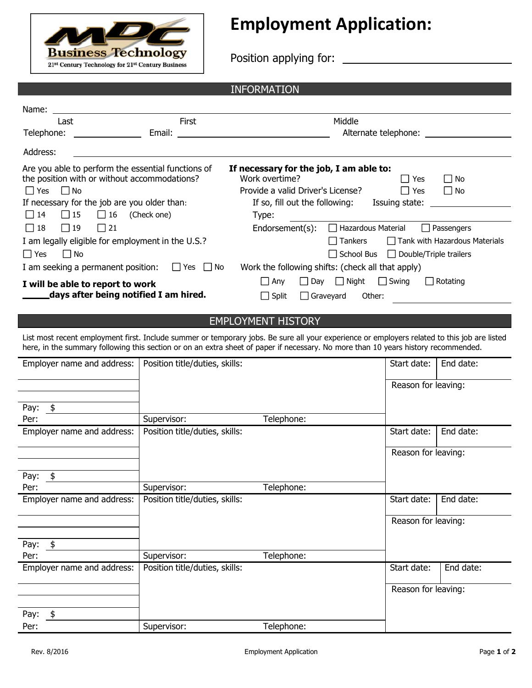

## **Employment Application:**

Position applying for:

## INFORMATION

| Name:                                        |                                                                                                                                                                                |                                                                                                                                                                                              |  |  |
|----------------------------------------------|--------------------------------------------------------------------------------------------------------------------------------------------------------------------------------|----------------------------------------------------------------------------------------------------------------------------------------------------------------------------------------------|--|--|
| Last                                         | <b>First</b>                                                                                                                                                                   | Middle                                                                                                                                                                                       |  |  |
| Telephone:                                   | Email:                                                                                                                                                                         | Alternate telephone:                                                                                                                                                                         |  |  |
| Address:                                     |                                                                                                                                                                                |                                                                                                                                                                                              |  |  |
| l l Yes<br>l I No<br>$\Box$ 15<br>$\vert$ 14 | Are you able to perform the essential functions of<br>the position with or without accommodations?<br>If necessary for the job are you older than:<br>$\Box$ 16<br>(Check one) | If necessary for the job, I am able to:<br>Work overtime?<br>l Yes<br>l No<br>Provide a valid Driver's License?<br>l Yes<br>l I No<br>If so, fill out the following: Issuing state:<br>Type: |  |  |
| $\Box$ 18<br>$\Box$ 19                       | $\vert$ 21                                                                                                                                                                     | Endorsement(s):<br>□ Hazardous Material<br>$\Box$ Passengers                                                                                                                                 |  |  |
| $\Box$ Yes                                   | I am legally eligible for employment in the U.S.?<br>I No<br>I am seeking a permanent position: $\Box$ Yes $\Box$ No                                                           | Tank with Hazardous Materials<br><b>Tankers</b><br>$\Box$ School Bus $\Box$ Double/Triple trailers<br>Work the following shifts: (check all that apply)                                      |  |  |
|                                              | I will be able to report to work<br>days after being notified I am hired.                                                                                                      | $\Box$ Swing<br>$\Box$ Night<br>Rotating<br>$\Box$ Day<br>∐ Any<br>$\mathbf{I}$<br>$\Box$ Split<br>Graveyard<br>Other:<br>$\mathsf{L}$                                                       |  |  |

## EMPLOYMENT HISTORY

List most recent employment first. Include summer or temporary jobs. Be sure all your experience or employers related to this job are listed here, in the summary following this section or on an extra sheet of paper if necessary. No more than 10 years history recommended.

| Employer name and address: | Position title/duties, skills: |            | Start date:         | End date: |
|----------------------------|--------------------------------|------------|---------------------|-----------|
|                            |                                |            | Reason for leaving: |           |
| Pay: $$$                   |                                |            |                     |           |
| Per:                       | Supervisor:                    | Telephone: |                     |           |
| Employer name and address: | Position title/duties, skills: |            | Start date:         | End date: |
|                            |                                |            | Reason for leaving: |           |
| Pay:<br>$\frac{1}{2}$      |                                |            |                     |           |
| Per:                       | Supervisor:                    | Telephone: |                     |           |
| Employer name and address: | Position title/duties, skills: |            | Start date:         | End date: |
|                            |                                |            | Reason for leaving: |           |
| Pay:<br>$\frac{4}{5}$      |                                |            |                     |           |
| Per:                       | Supervisor:                    | Telephone: |                     |           |
| Employer name and address: | Position title/duties, skills: |            | Start date:         | End date: |
|                            |                                |            | Reason for leaving: |           |
| Pay:<br>\$                 |                                |            |                     |           |
| Per:                       | Supervisor:                    | Telephone: |                     |           |